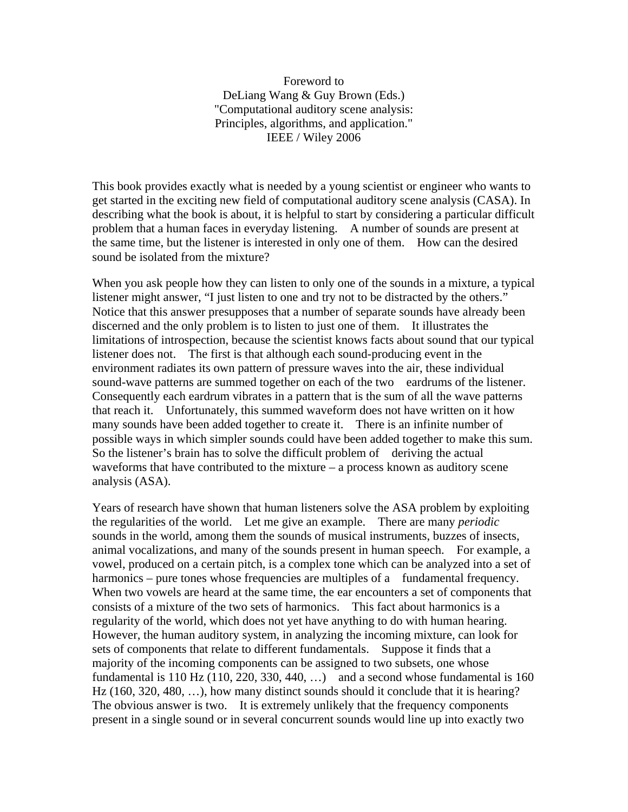Foreword to DeLiang Wang & Guy Brown (Eds.) "Computational auditory scene analysis: Principles, algorithms, and application." IEEE / Wiley 2006

This book provides exactly what is needed by a young scientist or engineer who wants to get started in the exciting new field of computational auditory scene analysis (CASA). In describing what the book is about, it is helpful to start by considering a particular difficult problem that a human faces in everyday listening. A number of sounds are present at the same time, but the listener is interested in only one of them. How can the desired sound be isolated from the mixture?

When you ask people how they can listen to only one of the sounds in a mixture, a typical listener might answer, "I just listen to one and try not to be distracted by the others." Notice that this answer presupposes that a number of separate sounds have already been discerned and the only problem is to listen to just one of them. It illustrates the limitations of introspection, because the scientist knows facts about sound that our typical listener does not. The first is that although each sound-producing event in the environment radiates its own pattern of pressure waves into the air, these individual sound-wave patterns are summed together on each of the two eardrums of the listener. Consequently each eardrum vibrates in a pattern that is the sum of all the wave patterns that reach it. Unfortunately, this summed waveform does not have written on it how many sounds have been added together to create it. There is an infinite number of possible ways in which simpler sounds could have been added together to make this sum. So the listener's brain has to solve the difficult problem of deriving the actual waveforms that have contributed to the mixture  $-$  a process known as auditory scene analysis (ASA).

Years of research have shown that human listeners solve the ASA problem by exploiting the regularities of the world. Let me give an example. There are many *periodic* sounds in the world, among them the sounds of musical instruments, buzzes of insects, animal vocalizations, and many of the sounds present in human speech. For example, a vowel, produced on a certain pitch, is a complex tone which can be analyzed into a set of harmonics – pure tones whose frequencies are multiples of a fundamental frequency. When two vowels are heard at the same time, the ear encounters a set of components that consists of a mixture of the two sets of harmonics. This fact about harmonics is a regularity of the world, which does not yet have anything to do with human hearing. However, the human auditory system, in analyzing the incoming mixture, can look for sets of components that relate to different fundamentals. Suppose it finds that a majority of the incoming components can be assigned to two subsets, one whose fundamental is  $110 \text{ Hz } (110, 220, 330, 440, ...)$  and a second whose fundamental is  $160$ Hz (160, 320, 480, ...), how many distinct sounds should it conclude that it is hearing? The obvious answer is two. It is extremely unlikely that the frequency components present in a single sound or in several concurrent sounds would line up into exactly two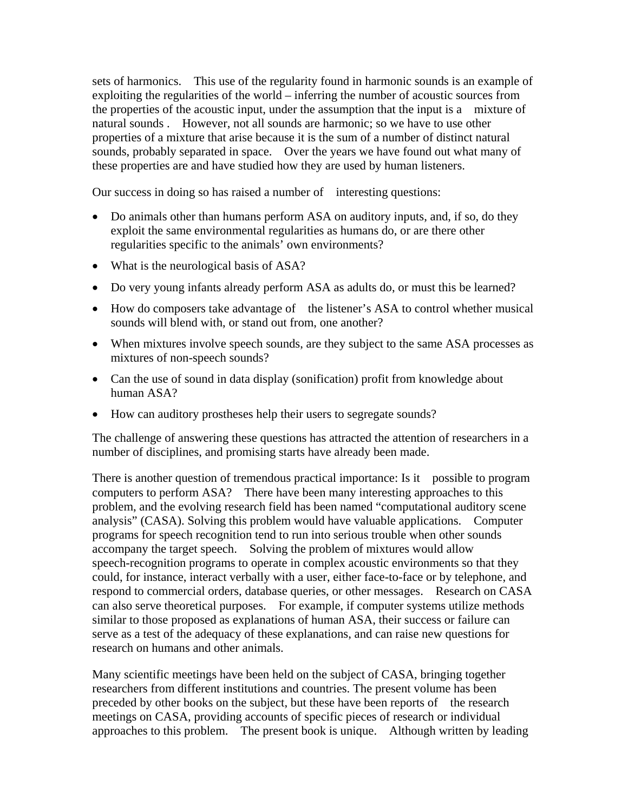sets of harmonics. This use of the regularity found in harmonic sounds is an example of exploiting the regularities of the world – inferring the number of acoustic sources from the properties of the acoustic input, under the assumption that the input is a mixture of natural sounds . However, not all sounds are harmonic; so we have to use other properties of a mixture that arise because it is the sum of a number of distinct natural sounds, probably separated in space. Over the years we have found out what many of these properties are and have studied how they are used by human listeners.

Our success in doing so has raised a number of interesting questions:

- Do animals other than humans perform ASA on auditory inputs, and, if so, do they exploit the same environmental regularities as humans do, or are there other regularities specific to the animals' own environments?
- What is the neurological basis of ASA?
- Do very young infants already perform ASA as adults do, or must this be learned?
- How do composers take advantage of the listener's ASA to control whether musical sounds will blend with, or stand out from, one another?
- When mixtures involve speech sounds, are they subject to the same ASA processes as mixtures of non-speech sounds?
- Can the use of sound in data display (sonification) profit from knowledge about human ASA?
- How can auditory prostheses help their users to segregate sounds?

The challenge of answering these questions has attracted the attention of researchers in a number of disciplines, and promising starts have already been made.

There is another question of tremendous practical importance: Is it possible to program computers to perform ASA? There have been many interesting approaches to this problem, and the evolving research field has been named "computational auditory scene analysis" (CASA). Solving this problem would have valuable applications. Computer programs for speech recognition tend to run into serious trouble when other sounds accompany the target speech. Solving the problem of mixtures would allow speech-recognition programs to operate in complex acoustic environments so that they could, for instance, interact verbally with a user, either face-to-face or by telephone, and respond to commercial orders, database queries, or other messages. Research on CASA can also serve theoretical purposes. For example, if computer systems utilize methods similar to those proposed as explanations of human ASA, their success or failure can serve as a test of the adequacy of these explanations, and can raise new questions for research on humans and other animals.

Many scientific meetings have been held on the subject of CASA, bringing together researchers from different institutions and countries. The present volume has been preceded by other books on the subject, but these have been reports of the research meetings on CASA, providing accounts of specific pieces of research or individual approaches to this problem. The present book is unique. Although written by leading